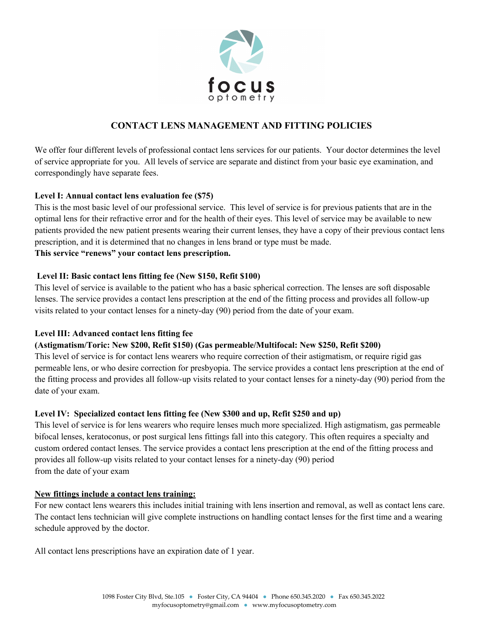

## **CONTACT LENS MANAGEMENT AND FITTING POLICIES**

We offer four different levels of professional contact lens services for our patients. Your doctor determines the level of service appropriate for you. All levels of service are separate and distinct from your basic eye examination, and correspondingly have separate fees.

### **Level I: Annual contact lens evaluation fee (\$75)**

This is the most basic level of our professional service. This level of service is for previous patients that are in the optimal lens for their refractive error and for the health of their eyes. This level of service may be available to new patients provided the new patient presents wearing their current lenses, they have a copy of their previous contact lens prescription, and it is determined that no changes in lens brand or type must be made. **This service "renews" your contact lens prescription.**

# **Level II: Basic contact lens fitting fee (New \$150, Refit \$100)**

This level of service is available to the patient who has a basic spherical correction. The lenses are soft disposable lenses. The service provides a contact lens prescription at the end of the fitting process and provides all follow-up visits related to your contact lenses for a ninety-day (90) period from the date of your exam.

### **Level III: Advanced contact lens fitting fee**

### **(Astigmatism/Toric: New \$200, Refit \$150) (Gas permeable/Multifocal: New \$250, Refit \$200)**

This level of service is for contact lens wearers who require correction of their astigmatism, or require rigid gas permeable lens, or who desire correction for presbyopia. The service provides a contact lens prescription at the end of the fitting process and provides all follow-up visits related to your contact lenses for a ninety-day (90) period from the date of your exam.

#### **Level IV: Specialized contact lens fitting fee (New \$300 and up, Refit \$250 and up)**

This level of service is for lens wearers who require lenses much more specialized. High astigmatism, gas permeable bifocal lenses, keratoconus, or post surgical lens fittings fall into this category. This often requires a specialty and custom ordered contact lenses. The service provides a contact lens prescription at the end of the fitting process and provides all follow-up visits related to your contact lenses for a ninety-day (90) period from the date of your exam

#### **New fittings include a contact lens training:**

For new contact lens wearers this includes initial training with lens insertion and removal, as well as contact lens care. The contact lens technician will give complete instructions on handling contact lenses for the first time and a wearing schedule approved by the doctor.

All contact lens prescriptions have an expiration date of 1 year.